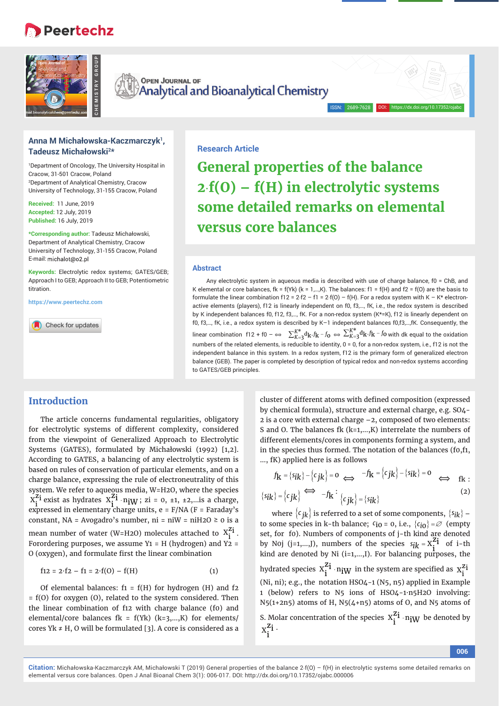# **Peertechz**



**OPEN JOURNAL OF** OPEN JOURNAL OF<br>Analytical and Bioanalytical Chemistry

## **Anna M Michałowska-Kaczmarczyk1, Tadeusz Michałowski2\***

1 Department of Oncology, The University Hospital in Cracow, 31-501 Cracow, Poland 2 Department of Analytical Chemistry, Cracow University of Technology, 31-155 Cracow, Poland

**Received:** 11 June, 2019 **Accepted:** 12 July, 2019 **Published:** 16 July, 2019

**\*Corresponding author:** Tadeusz Michałowski, Department of Analytical Chemistry, Cracow University of Technology, 31-155 Cracow, Poland E-mail: michalot@o2.pl

**Keywords:** Electrolytic redox systems; GATES/GEB; Approach I to GEB; Approach II to GEB; Potentiometric titration.

**https://www.peertechz.com**

Check for updates

### **Research Article**

**General properties of the balance 2f(O) – f(H) in electrolytic systems some detailed remarks on elemental versus core balances**

DOI: https://dx.doi.org/10.17352/ojabc

#### **Abstract**

 Any electrolytic system in aqueous media is described with use of charge balance, f0 = ChB, and K elemental or core balances, fk = f(Yk) (k = 1,...,K). The balances: f1 = f(H) and f2 = f(O) are the basis to formulate the linear combination f12 = 2·f2 - f1 = 2·f(0) - f(H). For a redox system with K - K\* electronactive elements (players), f12 is linearly independent on f0, f3,…, fK, i.e., the redox system is described by K independent balances f0, f12, f3,..., fK. For a non-redox system (K\*=K), f12 is linearly dependent on f0, f3,…, fK, i.e., a redox system is described by K–1 independent balances f0,f3,…,fK. Consequently, the linear combination f12 + f0 -  $\Leftrightarrow\;\; \sum_{K=3}^{K^*}\!{\rm d}_k\cdot f_k$  -  $f_0\;\Leftrightarrow\;\sum_{K=3}^{K^*}\!{\rm d}_k\cdot f_k$  -  $f_0$  with dk equal to the oxidation numbers of the related elements, is reducible to identity, 0 = 0, for a non-redox system, i.e., f12 is not the independent balance in this system. In a redox system, f12 is the primary form of generalized electron balance (GEB). The paper is completed by description of typical redox and non-redox systems according to GATES/GEB principles.

## **Introduction**

The article concerns fundamental regularities, obligatory for electrolytic systems of different complexity, considered from the viewpoint of Generalized Approach to Electrolytic Systems (GATES), formulated by Michałowski (1992) [1,2]. According to GATES, a balancing of any electrolytic system is based on rules of conservation of particular elements, and on a charge balance, expressing the rule of electroneutrality of this system. We refer to aqueous media, W=H2O, where the species  $X_i^{Z_i}$  exist as hydrates  $X_i^{Z_i} \cdot n_iW$ ; zi = 0, ±1, ±2,...is a charge, expressed in elementary charge units, e = F/NA (F = Faraday's constant, NA = Avogadro's number,  $ni = niW = niH2O \ge o$  is a mean number of water (W=H2O) molecules attached to  $X_i^{Z_i}$ . Forordering purposes, we assume  $Y1 = H$  (hydrogen) and  $Y2 =$ O (oxygen), and formulate first the linear combination

$$
f12 = 2 \cdot f2 - f1 = 2 \cdot f(0) - f(H) \tag{1}
$$

Of elemental balances:  $f_1 = f(H)$  for hydrogen (H) and  $f_2$ = f(O) for oxygen (O), related to the system considered. Then the linear combination of f12 with charge balance (f0) and elemental/core balances  $fk = f(Yk)$   $(k=3,...,K)$  for elements/ cores Yk  $\neq$  H, O will be formulated [3]. A core is considered as a cluster of different atoms with defined composition (expressed by chemical formula), structure and external charge, e.g. SO4- 2 is a core with external charge –2, composed of two elements: S and O. The balances fk (k=1,...,K) interrelate the numbers of different elements/cores in components forming a system, and in the species thus formed. The notation of the balances (f0,f1, …, fK) applied here is as follows

$$
f_{\mathbf{k}} = \{s_{\mathbf{i}\mathbf{k}}\} - \{c_{\mathbf{j}\mathbf{k}}\} = \mathbf{0} \iff -f_{\mathbf{k}} = \{c_{\mathbf{j}\mathbf{k}}\} - \{s_{\mathbf{i}\mathbf{k}}\} = \mathbf{0} \iff f_{\mathbf{k}}:
$$
\n
$$
f_{\mathbf{k}} = \{c_{\mathbf{i}\mathbf{k}}\} - \{b_{\mathbf{i}\mathbf{k}}\} = \mathbf{0} \iff f_{\mathbf{k}}: (2)
$$

$$
\{s_{ik}\} = \{c_{jk}\} \iff -f_{k}: \{c_{jk}\} = \{s_{ik}\}\tag{2}
$$

where  $\{c_{jk}\}\$ is referred to a set of some components,  $\{s_{ik}\}$  – to some species in k-th balance;  $c_{i0} = 0$ , i.e.,  $\{c_{i0}\} = \emptyset$  (empty set, for f0). Numbers of components of j-th kind are denoted by N0j  $(j=1,...,J)$ , numbers of the species  $s_{ik} = X_i^{\Sigma i}$  of i-th kind are denoted by Ni  $(i=1,...,J)$ . For balancing purposes, the hydrated species  $x_i^{z_i} \cdot n_i w$  in the system are specified as  $x_i^{z_i}$ (Ni, ni); e.g., the notation HSO4-1 (N5, n5) applied in Example 1 (below) refers to N5 ions of HSO4-1∙n5H2O involving:  $N5(1+2n5)$  atoms of H,  $N5(4+n5)$  atoms of O, and N5 atoms of S. Molar concentration of the species  $x_i^{z_i} \cdot n_i w$  be denoted by  $x_i^{z_i}$ .

**006**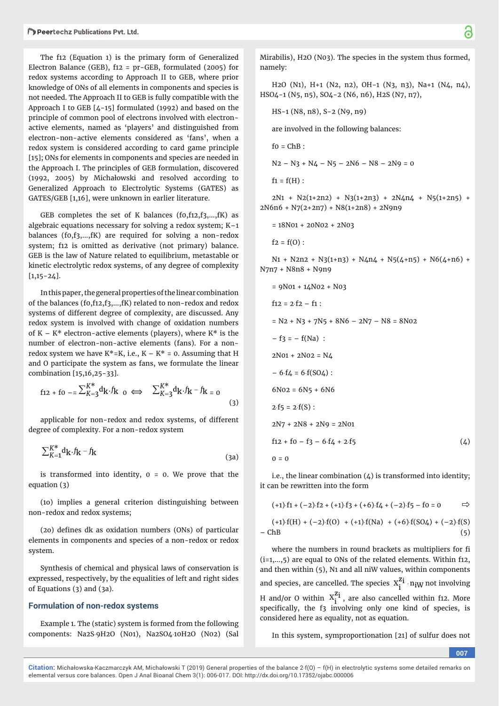The f12 (Equation 1) is the primary form of Generalized Electron Balance (GEB), f12 = pr-GEB, formulated (2005) for redox systems according to Approach II to GEB, where prior knowledge of ONs of all elements in components and species is not needed. The Approach II to GEB is fully compatible with the Approach I to GEB [4-15] formulated (1992) and based on the principle of common pool of electrons involved with electronactive elements, named as 'players' and distinguished from electron-non-active elements considered as 'fans', when a redox system is considered according to card game principle [15]; ONs for elements in components and species are needed in the Approach I. The principles of GEB formulation, discovered (1992, 2005) by Michałowski and resolved according to Generalized Approach to Electrolytic Systems (GATES) as GATES/GEB [1,16], were unknown in earlier literature.

GEB completes the set of K balances  $(f_0, f_1, f_2, f_3, \ldots, f_K)$  as algebraic equations necessary for solving a redox system; K–1 balances (f0,f3,…,fK) are required for solving a non-redox system; f12 is omitted as derivative (not primary) balance. GEB is the law of Nature related to equilibrium, metastable or kinetic electrolytic redox systems, of any degree of complexity  $[1,15-24]$ .

In this paper, the general properties of the linear combination of the balances (f0,f12,f3,…,fK) related to non-redox and redox systems of different degree of complexity, are discussed. Any redox system is involved with change of oxidation numbers of  $K - K^*$  electron-active elements (players), where  $K^*$  is the number of electron-non-active elements (fans). For a nonredox system we have  $K^* = K$ , i.e.,  $K - K^* = 0$ . Assuming that H and O participate the system as fans, we formulate the linear combination [15,16,25-33].

$$
f_{12} + f_0 = \sum_{K=3}^{K^*} d_K \cdot f_{K_0} \iff \sum_{K=3}^{K^*} d_K \cdot f_{K} - f_{K_0} \tag{3}
$$

applicable for non-redox and redox systems, of different degree of complexity. For a non-redox system

$$
\sum_{K=1}^{K^*} d_K \cdot f_K - f_K \tag{3a}
$$

is transformed into identity,  $0 = 0$ . We prove that the equation (3)

(1o) implies a general criterion distinguishing between non-redox and redox systems;

(20) defines dk as oxidation numbers (ONs) of particular elements in components and species of a non-redox or redox system.

Synthesis of chemical and physical laws of conservation is expressed, respectively, by the equalities of left and right sides of Equations (3) and (3a).

## **Formulation of non-redox systems**

Example 1. The (static) system is formed from the following components: Na2S9H2O (N01), Na2SO410H2O (N02) (Sal

Mirabilis), H2O (N03). The species in the system thus formed, namely:

H2O (N1), H+1 (N2, n2), OH-1 (N3, n3), Na+1 (N4, n4), HSO4-1 (N5, n5), SO4-2 (N6, n6), H2S (N7, n7),

HS-1 (N8, n8), S-2 (N9, n9)

are involved in the following balances:

 $fo = ChB$ :

 $N2 - N3 + N4 - N5 - 2N6 - N8 - 2N9 = 0$ 

 $f1 = f(H)$ :

 $2N1 + N2(1+2n2) + N3(1+2n3) + 2N4n4 + N5(1+2n5) +$ 2N6n6 + N7(2+2n7) + N8(1+2n8) + 2N9n9

= 18N01 + 20N02 + 2N03

 $f2 = f(0)$ :

 $N_1$  + N2n2 + N3(1+n3) + N4n4 + N5(4+n5) + N6(4+n6) + N7n7 + N8n8 + N9n9

$$
= 9N01 + 14N02 + N03
$$
  
\n
$$
f12 = 2 \cdot f2 - f1 :
$$
  
\n
$$
= N2 + N3 + 7N5 + 8N6 - 2N7 - N8 = 8N02
$$
  
\n
$$
-f3 = -f(Na) :
$$
  
\n
$$
2N01 + 2N02 = N4
$$
  
\n
$$
-6 \cdot f4 = 6 \cdot f(SO4) :
$$
  
\n
$$
6N02 = 6N5 + 6N6
$$
  
\n
$$
2 \cdot f5 = 2 \cdot f(S) :
$$
  
\n
$$
2N7 + 2N8 + 2N9 = 2N01
$$
  
\n
$$
f12 + f0 - f3 - 6 \cdot f4 + 2 \cdot f5
$$
  
\n
$$
0 = 0
$$

i.e., the linear combination  $(4)$  is transformed into identity; it can be rewritten into the form

$$
(+1)\cdot f1+(-2)\cdot f2+(+1)\cdot f3+(+6)\cdot f4+(-2)\cdot f5-f0=0\hspace{10mm}\implies
$$

$$
(+1) \cdot f(H) + (-2) \cdot f(0) + (+1) \cdot f(Na) + (+6) \cdot f(SO4) + (-2) \cdot f(S)
$$
  
- ChB (5)

where the numbers in round brackets as multipliers for fi (i=1,…,5) are equal to ONs of the related elements. Within f12, and then within (5), N1 and all niW values, within components and species, are cancelled. The species  $\ x_i^{z_i} \cdot n_{iW}$  not involving H and/or O within  $X_i^{Z_i}$ , are also cancelled within f12. More specifi cally, the f3 involving only one kind of species, is considered here as equality, not as equation.

In this system, symproportionation [21] of sulfur does not

**007**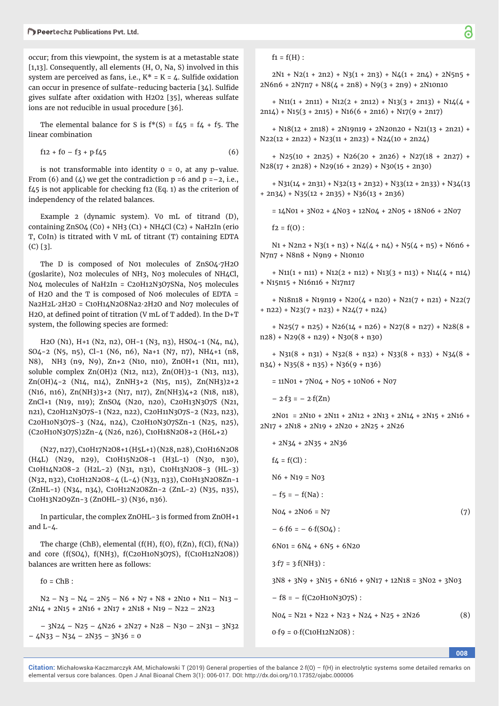occur; from this viewpoint, the system is at a metastable state [1,13]. Consequently, all elements (H, O, Na, S) involved in this system are perceived as fans, i.e.,  $K^* = K = 4$ . Sulfide oxidation can occur in presence of sulfate-reducing bacteria [34]. Sulfide gives sulfate after oxidation with H2O2 [35], whereas sulfate ions are not reducible in usual procedure [36].

The elemental balance for S is  $f^*(S) = f_4f_5 = f_4 + f_5$ . The linear combination

$$
f12 + f0 - f3 + p \cdot f45 \tag{6}
$$

is not transformable into identity  $0 = 0$ , at any p-value. From (6) and (4) we get the contradiction  $p = 6$  and  $p = -2$ , i.e., f45 is not applicable for checking f12 (Eq. 1) as the criterion of independency of the related balances.

Example 2 (dynamic system). Vo mL of titrand (D), containing ZnSO4 (C0) + NH3 (C1) + NH4Cl (C2) + NaH2In (erio T, C0In) is titrated with V mL of titrant (T) containing EDTA (C) [3].

The D is composed of N01 molecules of ZnSO4·7H2O (goslarite), N02 molecules of NH3, N03 molecules of NH4Cl, N04 molecules of NaH2In = C20H12N3O7SNa, N05 molecules of H2O and the T is composed of N06 molecules of EDTA = Na2H2L·2H2O = C10H14N2O8Na2·2H2O and N07 molecules of H2O, at defined point of titration (V mL of T added). In the  $D+T$ system, the following species are formed:

H2O (N1), H+1 (N2, n2), OH-1 (N3, n3), HSO4-1 (N4, n4), SO4-2 (N5, n5), Cl-1 (N6, n6), Na+1 (N7, n7), NH4+1 (n8, N8), NH3 (n9, N9), Zn+2 (N10, n10), ZnOH+1 (N11, n11), soluble complex Zn(OH)2 (N12, n12), Zn(OH)3-1 (N13, n13), Zn(OH)4-2 (N14, n14), ZnNH3+2 (N15, n15), Zn(NH3)2+2 (N16, n16), Zn(NH3)3+2 (N17, n17), Zn(NH3)4+2 (N18, n18), ZnCl+1 (N19, n19); ZnSO4 (N20, n20), C20H13N3O7S (N21, n21), C20H12N3O7S-1 (N22, n22), C20H11N3O7S-2 (N23, n23), C20H10N3O7S-3 (N24, n24), C20H10N3O7SZn-1 (N25, n25), (C20H10N3O7S)2Zn-4 (N26, n26), C10H18N2O8+2 (H6L+2)

(N27, n27), C10H17N2O8+1 (H5L+1) (N28, n28), C10H16N2O8 (H4L) (N29, n29), C10H15N2O8-1 (H3L-1) (N30, n30), C10H14N2O8-2 (H2L-2) (N31, n31), C10H13N2O8-3 (HL-3) (N32, n32), C10H12N2O8-4 (L-4) (N33, n33), C10H13N2O8Zn-1 (ZnHL-1) (N34, n34), C10H12N2O8Zn-2 (ZnL-2) (N35, n35), C10H13N2O9Zn-3 (ZnOHL-3) (N36, n36).

In particular, the complex ZnOHL-3 is formed from ZnOH+1 and  $L-4$ .

The charge (ChB), elemental  $(f(H), f(0), f(Zn), f(Cl), f(Na))$ and core (f(SO4), f(NH3), f(C20H10N3O7S), f(C10H12N2O8)) balances are written here as follows:

 $fo = ChB$ :

 $N2 - N3 - N4 - 2N5 - N6 + N7 + N8 + 2N10 + N11 - N13 2N14 + 2N15 + 2N16 + 2N17 + 2N18 + N19 - N22 - 2N23$ 

– 3N24 – N25 – 4N26 + 2N27 + N28 – N30 – 2N31 – 3N32 – 4N33 – N34 – 2N35 – 3N36 = 0

 $2N1 + N2(1 + 2n2) + N3(1 + 2n3) + N4(1 + 2n4) + 2N5n5 +$  $2N6n6 + 2N7n7 + N8(4 + 2n8) + N9(3 + 2n9) + 2N10n10$ 

+ N11(1 + 2n11) + N12(2 + 2n12) + N13(3 + 2n13) + N14(4 +  $2n14$ ) + N15(3 + 2n15) + N16(6 + 2n16) + N17(9 + 2n17)

+ N18(12 + 2n18) + 2N19n19 + 2N20n20 + N21(13 + 2n21) +  $N22(12 + 2n22) + N23(11 + 2n23) + N24(10 + 2n24)$ 

+ N25(10 + 2n25) + N26(20 + 2n26) + N27(18 + 2n27) +  $N28(17 + 2n28) + N29(16 + 2n29) + N30(15 + 2n30)$ 

 $+$  N31(14 + 2n31) + N32(13 + 2n32) + N33(12 + 2n33) + N34(13  $+ 2n34$ ) + N35(12 + 2n35) + N36(13 + 2n36)

 $= 14N01 + 3N02 + 4N03 + 12N04 + 2N05 + 18N06 + 2N07$ 

 $f2 = f(0)$ :

 $N_1$  + N2n2 + N3(1 + n3) + N4(4 + n4) + N5(4 + n5) + N6n6 + N7n7 + N8n8 + N9n9 + N10n10

 $+ N11(1 + n11) + N12(2 + n12) + N13(3 + n13) + N14(4 + n14)$ + N15n15 + N16n16 + N17n17

+ N18n18 + N19n19 + N20(4 + n20) + N21(7 + n21) + N22(7  $+$  n22) + N23(7 + n23) + N24(7 + n24)

 $+$  N25(7 + n25) + N26(14 + n26) + N27(8 + n27) + N28(8 +  $n28$ ) + N29(8 + n29) + N30(8 + n30)

 $+$  N31(8 + n31) + N32(8 + n32) + N33(8 + n33) + N34(8 +  $n34$ ) + N35(8 + n35) + N36(9 + n36)

 $= 11N01 + 7N04 + N05 + 10N06 + N07$ 

 $-2.53 = -2.5(2n)$ 

 $2N01 = 2N10 + 2N11 + 2N12 + 2N13 + 2N14 + 2N15 + 2N16 +$ 2N17 + 2N18 + 2N19 + 2N20 + 2N25 + 2N26

+ 2N34 + 2N35 + 2N36  $f_4 = f(Cl)$ : N6 + N19 = N03  $- f5 = - f(Na)$ :  $N04 + 2N06 = N7$  (7)  $-6.6 = -6.6$  (SO4) :  $6N01 = 6N4 + 6N5 + 6N20$  $3·f7 = 3·f(NH3)$ : 3N8 + 3N9 + 3N15 + 6N16 + 9N17 + 12N18 = 3N02 + 3N03  $- f8 = - f(C20H10N307S)$ :  $N04 = N21 + N22 + N23 + N24 + N25 + 2N26$  (8)  $0.f9 = 0.f(C10H12N208)$ :

**008**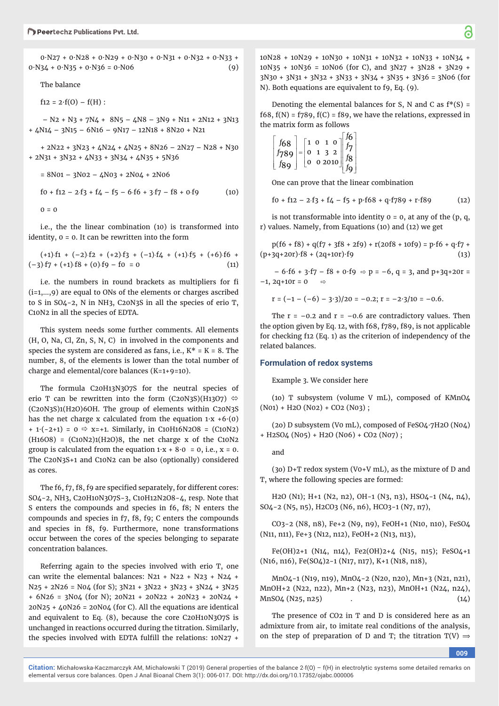0∙N27 + 0∙N28 + 0∙N29 + 0∙N30 + 0∙N31 + 0∙N32 + 0∙N33 +  $0<sup>0</sup>·N34 + 0<sup>0</sup>·N35 + 0<sup>0</sup>·N36 = 0<sup>0</sup>·N06$  (9)

The balance

 $f12 = 2 \cdot f(0) - f(H)$ :

 $-$  N<sub>2</sub> + N<sub>3</sub> +  $7N4 + 8N5 - 4N8 - 3N9 + N11 + 2N12 + 3N13$ + 4N14 – 3N15 – 6N16 – 9N17 – 12N18 + 8N20 + N21

+ 2N22 + 3N23 + 4N24 + 4N25 + 8N26 – 2N27 – N28 + N30 + 2N31 + 3N32 + 4N33 + 3N34 + 4N35 + 5N36

 $= 8N01 - 3N02 - 4N03 + 2N04 + 2N06$  $f0 + f12 - 2.f3 + f4 - f5 - 6.f6 + 3.f7 - f8 + 0.f9$  (10)  $0 = 0$ 

i.e., the the linear combination (10) is transformed into identity, 0 = 0. It can be rewritten into the form

 $(+1)$ ·f1 +  $(-2)$ ·f2 +  $(+2)$ ·f3 +  $(-1)$ ·f4 +  $(+1)$ ·f5 +  $(+6)$ ·f6 +  $(-3)$ ·f7 + (+1)·f8 + (0)·f9 – f0 = 0 (11)

i.e. the numbers in round brackets as multipliers for fi (i=1,…,9) are equal to ONs of the elements or charges ascribed to S in SO4-2, N in NH3, C20N3S in all the species of erio T, C10N2 in all the species of EDTA.

This system needs some further comments. All elements (H, O, Na, Cl, Zn, S, N, C) in involved in the components and species the system are considered as fans, i.e.,  $K^* = K = 8$ . The number, 8, of the elements is lower than the total number of charge and elemental/core balances (K=1+9=10).

The formula C20H13N3O7S for the neutral species of erio T can be rewritten into the form (C20N3S)(H13O7)  $\Leftrightarrow$ (C20N3S)1(H2O)6OH. The group of elements within C20N3S has the net charge x calculated from the equation 1∙x +6∙(0) + 1∙(-2+1) = 0 x=+1. Similarly, in C10H16N2O8 = (C10N2) (H16O8) = (C10N2)1(H2O)8, the net charge x of the C10N2 group is calculated from the equation  $1$ ⋅x + 8⋅0 = 0, i.e., x = 0. The C20N3S+1 and C10N2 can be also (optionally) considered as cores.

The f6, f7, f8, f9 are specified separately, for different cores: SO4-2, NH3, C20H10N3O7S-3, C10H12N2O8-4, resp. Note that S enters the compounds and species in f6, f8; N enters the compounds and species in f7, f8, f9; C enters the compounds and species in f8, f9. Furthermore, none transformations occur between the cores of the species belonging to separate concentration balances.

Referring again to the species involved with erio T, one can write the elemental balances:  $N21 + N22 + N23 + N24 +$ N25 + 2N26 = N04 (for S); 3N21 + 3N22 + 3N23 + 3N24 + 3N25 + 6N26 = 3N04 (for N); 20N21 + 20N22 + 20N23 + 20N24 + 20N25 + 40N26 = 20N04 (for C). All the equations are identical and equivalent to Eq. (8), because the core C20H10N3O7S is unchanged in reactions occurred during the titration. Similarly, the species involved with EDTA fulfill the relations:  $10N27 +$ 

10N28 + 10N29 + 10N30 + 10N31 + 10N32 + 10N33 + 10N34 + 10N35 + 10N36 = 10N06 (for C), and 3N27 + 3N28 + 3N29 + 3N30 + 3N31 + 3N32 + 3N33 + 3N34 + 3N35 + 3N36 = 3N06 (for N). Both equations are equivalent to f9, Eq. (9).

Denoting the elemental balances for S, N and C as  $f^*(S)$  = f68,  $f(N) = f789$ ,  $f(C) = f89$ , we have the relations, expressed in the matrix form as follows

$$
\begin{bmatrix} f_{68} \\ f_{789} \\ f_{89} \end{bmatrix} = \begin{bmatrix} 1 & 0 & 1 & 0 \\ 0 & 1 & 3 & 2 \\ 0 & 0 & 2010 \end{bmatrix} \begin{bmatrix} f_{6} \\ f_{7} \\ f_{8} \\ f_{9} \end{bmatrix}
$$

One can prove that the linear combination

 $f0 + f12 - 2.f3 + f4 - f5 + p·f68 + q·f789 + r·f89$  (12)

is not transformable into identity  $0 = 0$ , at any of the  $(p, q, q)$ r) values. Namely, from Equations (10) and (12) we get

 $p(6 + 6) + q(7 + 36) + 269 + r(2068 + 1069) = p.66 + q.67 +$ (p+3q+20r)∙f8 + (2q+10r)∙f9 (13)

 $-6.$ f6 + 3⋅f7 – f8 + 0⋅f9  $\Rightarrow$  p = –6, q = 3, and p+3q+20r =  $-1$ , 2q+10r = 0  $\Rightarrow$ 

$$
r = (-1 - (-6) - 3.3)/20 = -0.2; r = -2.3/10 = -0.6.
$$

The  $r = -0.2$  and  $r = -0.6$  are contradictory values. Then the option given by Eq. 12, with f68, f789, f89, is not applicable for checking f12 (Eq. 1) as the criterion of independency of the related balances.

#### **Formulation of redox systems**

Example 3. We consider here

(1o) T subsystem (volume V mL), composed of KMnO4 (N01) + H2O (N02) + CO2 (N03) ;

(2o) D subsystem (V0 mL), composed of FeSO4∙7H2O (N04) + H2SO4 (N05) + H2O (N06) + CO2 (N07) ;

and

(3o) D+T redox system (V0+V mL), as the mixture of D and T, where the following species are formed:

H2O (N1); H+1 (N2, n2), OH-1 (N3, n3), HSO4-1 (N4, n4), SO4-2 (N5, n5), H2CO3 (N6, n6), HCO3-1 (N7, n7),

CO3-2 (N8, n8), Fe+2 (N9, n9), FeOH+1 (N10, n10), FeSO4 (N11, n11), Fe+3 (N12, n12), FeOH+2 (N13, n13),

Fe(OH)2+1 (N14, n14), Fe2(OH)2+4 (N15, n15); FeSO4+1 (N16, n16), Fe(SO4)2-1 (N17, n17), K+1 (N18, n18),

MnO4-1 (N19, n19), MnO4-2 (N20, n20), Mn+3 (N21, n21), MnOH+2 (N22, n22), Mn+2 (N23, n23), MnOH+1 (N24, n24),  $MnSO4 (N25, n25)$  (14)

The presence of CO2 in T and D is considered here as an admixture from air, to imitate real conditions of the analysis, on the step of preparation of D and T; the titration T(V)  $\Rightarrow$ 

**009**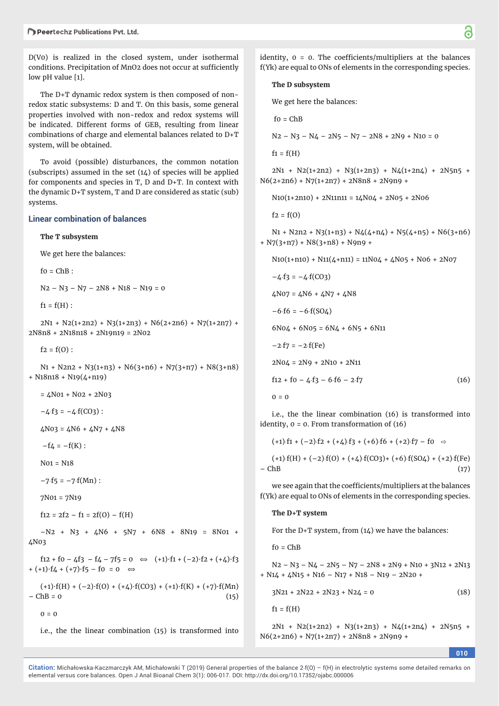$D(V0)$  is realized in the closed system, under isothermal conditions. Precipitation of MnO2 does not occur at sufficiently low pH value [1].

The D+T dynamic redox system is then composed of nonredox static subsystems: D and T. On this basis, some general properties involved with non-redox and redox systems will be indicated. Different forms of GEB, resulting from linear combinations of charge and elemental balances related to D+T system, will be obtained.

To avoid (possible) disturbances, the common notation (subscripts) assumed in the set (14) of species will be applied for components and species in T, D and D+T. In context with the dynamic D+T system, T and D are considered as static (sub) systems.

#### **Linear combination of balances**

**The T subsystem**

We get here the balances:

 $fo = ChB$ :

N2 – N3 – N7 – 2N8 + N18 – N19 = 0

 $f1 = f(H)$ :

 $2N1 + N2(1+2n2) + N3(1+2n3) + N6(2+2n6) + N7(1+2n7) +$ 2N8n8 + 2N18n18 +2N19n19 = 2N02

 $f2 = f(0)$ :

 $N_1$  + N2n2 + N3(1+n3) + N6(3+n6) + N7(3+n7) + N8(3+n8) + N18n18 + N19(4+n19)

 $= 4N01 + N02 + 2N03$ 

 $-4.53 = -4.5(C03)$ :

 $4N03 = 4N6 + 4N7 + 4N8$ 

 $-f_4 = -f(K)$ :

N01 = N18

 $-7. f5 = -7. f(Mn)$ :

7N01 = 7N19

 $f12 = 2f2 - f1 = 2f(0) - f(H)$ 

–N2 + N3+ 4N6 + 5N7 + 6N8 + 8N19 = 8N01 + 4N03

 $f12 + f0 - 4f3 - f4 - 7f5 = 0 \Leftrightarrow (+1) \cdot f1 + (-2) \cdot f2 + (+4) \cdot f3$ + (+1)∙f4 + (+7)∙f5 – f0 = 0 ⟺

(+1)∙f(H) + (–2)∙f(O) + (+4)∙f(CO3) + (+1)∙f(K) + (+7)∙f(Mn)  $-$  ChB = 0 (15)



i.e., the the linear combination (15) is transformed into

identity,  $0 = 0$ . The coefficients/multipliers at the balances f(Yk) are equal to ONs of elements in the corresponding species.

#### **The D subsystem**

We get here the balances:

 $f_0 = ChB$ 

 $N2 - N3 - N4 - 2N5 - N7 - 2N8 + 2N9 + N10 = 0$ 

 $f1 = f(H)$ 

 $2N1 + N2(1+2n2) + N3(1+2n3) + N4(1+2n4) + 2N5n5 +$  $N6(2+2n6) + N7(1+2n7) + 2N8n8 + 2N9n9 +$ 

 $N10(1+2n10) + 2N11n11 = 14N04 + 2N05 + 2N06$ 

 $f2 = f(0)$ 

 $N_1$  + N2n2 + N3(1+n3) + N4(4+n4) + N5(4+n5) + N6(3+n6) + N7(3+n7) + N8(3+n8) + N9n9 +

 $N10(1+n10) + N11(4+n11) = 11N04 + 4N05 + N06 + 2N07$ 

$$
-4.53 = -4.5(03)
$$

 $4N07 = 4N6 + 4N7 + 4N8$  $-6.6 = -6.6$ (SO4)  $6N04 + 6N05 = 6N4 + 6N5 + 6N11$ 

$$
-2. f7 = -2. f(Fe)
$$
  
2NO4 = 2N9 + 2N10 + 2N11

 $f12 + f0 - 4f3 - 6f6 - 2f7$  (16)

$$
\mathbf{0}=\mathbf{0}
$$

i.e., the the linear combination (16) is transformed into identity, 0 = 0. From transformation of (16)

 $(+1)$ ·f1 +  $(-2)$ ·f2 +  $(+4)$ ·f3 +  $(+6)$ ·f6 +  $(+2)$ ·f7 – f0  $\Rightarrow$ 

 $(+1)$ - $f(H)$  +  $(-2)$ - $f(0)$  +  $(+4)$ - $f(CO3)$ +  $(+6)$ - $f(SO4)$  +  $(+2)$ - $f(Fe)$  $-\text{ChB}$  (17)

we see again that the coefficients/multipliers at the balances f(Yk) are equal to ONs of elements in the corresponding species.

#### **The D+T system**

For the D+T system, from (14) we have the balances:

 $fo = ChB$ 

 $N2 - N3 - N4 - 2N5 - N7 - 2N8 + 2N9 + N10 + 3N12 + 2N13$ + N14 + 4N15 + N16 – N17 + N18 – N19 – 2N20 +

$$
3N21 + 2N22 + 2N23 + N24 = 0 \tag{18}
$$

 $f1 = f(H)$ 

 $2N1 + N2(1+2n2) + N3(1+2n3) + N4(1+2n4) + 2N5n5 +$  $N6(2+2n6) + N7(1+2n7) + 2N8n8 + 2N9n9 +$ 

**010**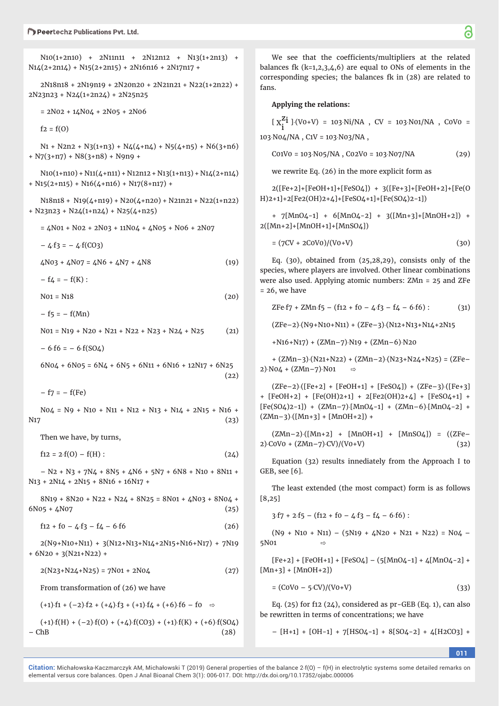N10(1+2n10) + 2N11n11 + 2N12n12 + N13(1+2n13) +  $N14(2+2n14) + N15(2+2n15) + 2N16n16 + 2N17n17 +$ 

2N18n18 + 2N19n19 + 2N20n20 + 2N21n21 + N22(1+2n22) + 2N23n23 + N24(1+2n24) + 2N25n25

 $= 2N02 + 14N04 + 2N05 + 2N06$ 

 $f2 = f(0)$ 

 $N_1$  + N2n2 + N3(1+n3) + N4(4+n4) + N5(4+n5) + N6(3+n6) + N7(3+n7) + N8(3+n8) + N9n9 +

 $NiO(1+niO) + Ni1(4+ni1) + Ni2ni2 + Ni3(1+ni3) + Ni4(2+ni4)$  $+$  N15(2+n15) + N16(4+n16) + N17(8+n17) +

 $N18n18 + N19(\text{$\triangle$}+n19) + N20(\text{$\triangle$}+n20) + N21n21 + N22(1+n22)$  $+$  N23n23 + N24(1+n24) + N25(4+n25)

 $= 4N01 + N02 + 2N03 + 11N04 + 4N05 + N06 + 2N07$ 

 $-4.53 = -4.5(C03)$ 

 $\angle$ N03 +  $\angle$ N07 =  $\angle$ N6 +  $\angle$ N7 +  $\angle$ N8 (19)

 $- f4 = - f(K)$ :

 $N01 = N18$  (20)

 $- f5 = - f(Mn)$ 

 $N01 = N19 + N20 + N21 + N22 + N23 + N24 + N25$  (21)

 $-6.6 = -6.6$ (SO4)

 $6N04 + 6N05 = 6N4 + 6N5 + 6N11 + 6N16 + 12N17 + 6N25$  $(22)$ 

 $- f7 = - f(Fe)$ 

 $N04 = N9 + N10 + N11 + N12 + N13 + N14 + 2N15 + N16 +$  $N17$  (23)

Then we have, by turns,

 $f12 = 2 \cdot f(0) - f(H)$ : (24)

 $-$  N<sub>2</sub> + N<sub>3</sub> +  $7N4 + 8N5 + 4N6 + 5N7 + 6N8 + N10 + 8N11 +$ N13 + 2N14 + 2N15 + 8N16 + 16N17 +

 $8N19 + 8N20 + N22 + N24 + 8N25 = 8N01 + 4N03 + 8N04 +$  $6N05 + 4N07$  (25)

 $f12 + f0 - 4f3 - f4 - 6f6$  (26)

2(N9+N10+N11) + 3(N12+N13+N14+2N15+N16+N17) + 7N19 + 6N20 + 3(N21+N22) +

 $2(N23+N24+N25) = 7N01 + 2N04$  (27)

From transformation of (26) we have

 $(+1)$ :  $f1 + (-2)$ :  $f2 + (+1)$ :  $f3 + (+1)$ :  $f4 + (+6)$ :  $f6 - f0 \Rightarrow$  $(+1)$ f(H) + (-2)f(O) + (+4)f(CO3) + (+1)f(K) + (+6)f(SO4)  $-\text{ChB}$  (28)

We see that the coefficients/multipliers at the related balances fk  $(k=1,2,3,4,6)$  are equal to ONs of elements in the corresponding species; the balances fk in (28) are related to fans.

#### **Applying the relations:**

 $[X_1^{\mathbf{Z_1}}] \cdot (V0+V) = 103 \cdot Ni/NA$ , CV = 103 $\cdot$ N01/NA, C0V0 = 103·N04/NA, C1V = 103·N03/NA,

 $CO1VO = 103 \cdot NO5/NA$ ,  $CO2VO = 103 \cdot NO7/NA$  (29)

we rewrite Eq. (26) in the more explicit form as

2([Fe+2]+[FeOH+1]+[FeSO4]) + 3([Fe+3]+[FeOH+2]+[Fe(O H)2+1]+2[Fe2(OH)2+4]+[FeSO4+1]+[Fe(SO4)2-1])

+ 7[MnO4-1] + 6[MnO4-2] + 3([Mn+3]+[MnOH+2]) + 2([Mn+2]+[MnOH+1]+[MnSO4])

 $= (7CV + 2COVO)/(VO + V)$  (30)

Eq. (30), obtained from (25,28,29), consists only of the species, where players are involved. Other linear combinations were also used. Applying atomic numbers: ZMn = 25 and ZFe  $= 26$ , we have

 $ZFe.f7 + ZMn.f5 - (f12 + f0 - 4.f3 - f4 - 6.f6)$  : (31)

(ZFe–2)(N9+N10+N11) + (ZFe–3)(N12+N13+N14+2N15

 $+N16+N17$ ) + (ZMn-7) $N19 + (ZMn-6)N20$ 

 $+(ZMn-3)(N21+N22) + (ZMn-2)(N23+N24+N25) = (ZFe 2) \cdot NO_4 + (ZMn - 7) \cdot NO_1 \Rightarrow$ 

 $(ZFe-2)$  ([Fe+2] + [FeOH+1] + [FeSO4]) + (ZFe-3) ([Fe+3] + [FeOH+2] + [Fe(OH)2+1] + 2[Fe2(OH)2+4] + [FeSO4+1] +  $[Fe(SO4)2-1]$  +  $(ZMn-7)$  $[MnO4-1]$  +  $(ZMn-6)$  $[MnO4-2]$  +  $(ZMn-3)$  $([Mn+3] + [MnOH+2]) +$ 

(ZMn–2)([Mn+2] + [MnOH+1] + [MnSO4]) = ((ZFe–  $2)\text{COV0} + (ZMn-7)\text{CV})/(V0+V)$  (32)

Equation (32) results innediately from the Approach I to GEB, see [6].

The least extended (the most compact) form is as follows [8,25]

 $3.57 + 2.55 - (12 + 10 - 4.53 - 14 - 6.56)$ :

 $(N9 + N10 + N11) - (5N19 + 4N20 + N21 + N22) = N04$ 5N01 ⇨

 $[Fe+2] + [FeOH+1] + [FeSO4] - (5[MnO4-1] + 4[MnO4-2] +$  $[Min+3] + [MnOH+2])$ 

 $= (COV0 - 5\cdot CV)/(V0+V)$  (33)

Eq.  $(25)$  for f12  $(24)$ , considered as pr-GEB (Eq. 1), can also be rewritten in terms of concentrations; we have

 $-[H+1] + [OH-1] + 7[HSO4-1] + 8[SO4-2] + 4[H2CO3] +$ 

**011**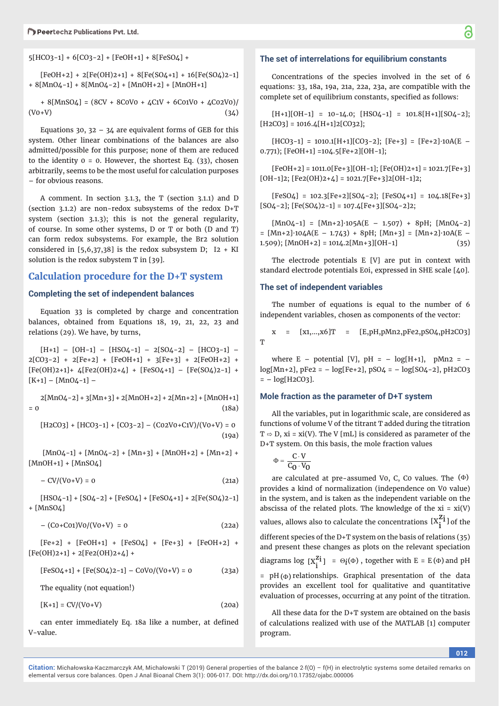5[HCO3-1] + 6[CO3-2] + [FeOH+1] + 8[FeSO4] +

 $[FeOH+2] + 2[Fe(OH)2+1] + 8[Fe(SO4+1] + 16[Fe(SO4)2-1]$ + 8[MnO4-1] + 8[MnO4-2] + [MnOH+2] + [MnOH+1]

+ 8[MnSO4] = (8CV + 8C0V0 + 4C1V + 6C01V0 + 4C02V0)/  $(V0+V)$  (34)

Equations 30, 32 – 34 are equivalent forms of GEB for this system. Other linear combinations of the balances are also admitted/possible for this purpose; none of them are reduced to the identity  $0 = 0$ . However, the shortest Eq. (33), chosen arbitrarily, seems to be the most useful for calculation purposes – for obvious reasons.

A comment. In section 3.1.3, the T (section 3.1.1) and D (section 3.1.2) are non-redox subsystems of the redox D+T system (section 3.1.3); this is not the general regularity, of course. In some other systems, D or T or both (D and T) can form redox subsystems. For example, the Br2 solution considered in  $[5,6,37,38]$  is the redox subsystem D; I2 + KI solution is the redox subystem T in [39].

## **Calculation procedure for the D+T system**

## **Completing the set of independent balances**

Equation 33 is completed by charge and concentration balances, obtained from Equations 18, 19, 21, 22, 23 and relations (29). We have, by turns,

 $[H+1] - [OH-1] - [HSO4-1] - 2[SO4-2] - [HCO3-1] 2[CO3-2] + 2[Fe+2] + [FeOH+1] + 3[Fe+3] + 2[FeOH+2] +$ [Fe(OH)2+1]+ 4[Fe2(OH)2+4] + [FeSO4+1] – [Fe(SO4)2-1] +  $[K+1] - [MnO4-1] -$ 

 $2[MnO4-2]+3[Mn+3]+2[MnOH+2]+2[Mn+2]+[MnOH+1]$  $= 0$  (18a)

 $[H2CO3] + [HCO3-1] + [CO3-2] - (CO2VO+ClV)/(VO+V) = 0$ (19a)

 $[MnO4-1] + [MnO4-2] + [Mn+3] + [MnOH+2] + [Mn+2] +$ [MnOH+1] + [MnSO4]

 $-$  CV/(V0+V) = 0 (21a)

 $[HSO4-1] + [SO4-2] + [FeSO4] + [FeSO4+1] + 2[Fe(SO4)2-1]$ + [MnSO4]

$$
-(C0+C01)V0/(V0+V) = 0 \tag{22a}
$$

 $[Fe+2] + [FeOH+1] + [FeSO4] + [Fe+3] + [FeOH+2] +$  $[Fe(OH)2+1] + 2[Fe2(OH)2+4] +$ 

$$
[FeSO4+1] + [Fe(SO4)2-1] - COVO/(VO+V) = 0
$$
 (23a)

The equality (not equation!)

 $[K+1] = CV/(V0+V)$  (20a)

can enter immediately Eq. 18a like a number, at defined V-value.

### **The set of interrelations for equilibrium constants**

Concentrations of the species involved in the set of 6 equations: 33, 18a, 19a, 21a, 22a, 23a, are compatible with the complete set of equilibrium constants, specified as follows:

 $[H+1][OH-1] = 10-14.0; [HSO4-1] = 101.8[H+1][SO4-2];$  $[H2CO3] = 1016.4[H+1]2[CO32];$ 

 $[HCO3-1] = 1010.1[H+1][CO3-2]; [Fe+3] = [Fe+2]·10A(E -$ 0.771); [FeOH+1] =104.5[Fe+2][OH-1];

 $[FeOH+2] = 1011.0[Fe+3][OH-1]; [Fe(OH)2+1] = 1021.7[Fe+3]$  $[OH-1]2$ ;  $[Fe2(OH)2+4] = 1021.7[Fe+3]2[OH-1]2$ ;

 $[FeSO_4] = 102.3[Fe+2][SO_4-2]; [FeSO_4+1] = 104.18[Fe+3]$  $[SO4-2]$ ;  $[Fe(SO4)2-1] = 107.4[Fe+3][SO4-2]2$ ;

[MnO4-1] = [Mn+2]∙105A(E – 1.507) + 8pH; [MnO4-2] = [Mn+2]∙104A(E – 1.743) + 8pH; [Mn+3] = [Mn+2]∙10A(E – 1.509);  $[MnOH+2] = 1014.2[Mn+3][OH-1]$  (35)

The electrode potentials E [V] are put in context with standard electrode potentials E0i, expressed in SHE scale [40].

#### **The set of independent variables**

The number of equations is equal to the number of 6 independent variables, chosen as components of the vector:

x = [x1,…,x6]T = [E,pH,pMn2,pFe2,pSO4,pH2CO3] T

where E – potential [V],  $pH = -log[H+1]$ ,  $pMn2 =$  $log(Mn+2)$ ,  $pFe2 = -log[Fe+2]$ ,  $pSO4 = -log[SO4-2]$ ,  $pH2CO3$  $= - log[H2CO3].$ 

#### **Mole fraction as the parameter of D+T system**

All the variables, put in logarithmic scale, are considered as functions of volume V of the titrant T added during the titration  $T \Rightarrow D$ , xi = xi(V). The V [mL] is considered as parameter of the D+T system. On this basis, the mole fraction values

$$
\Phi = \frac{C \cdot V}{C_0 \cdot V_0}
$$

are calculated at pre-assumed Vo, C, Co values. The  $(\Phi)$ provides a kind of normalization (independence on V0 value) in the system, and is taken as the independent variable on the abscissa of the related plots. The knowledge of the  $xi = xi(V)$ values, allows also to calculate the concentrations  $[X_i^{Z_i}]$  of the

different species of the D+T system on the basis of relations (35) and present these changes as plots on the relevant speciation diagrams log  $[\textbf{X}_\textbf{i}^\textbf{Z \textbf{i}}] \ = \ \Theta_{\textbf{i}}(\Phi)$  , together with E = E ( $\Phi$ ) and pH

 $= pH(\Phi)$  relationships. Graphical presentation of the data provides an excellent tool for qualitative and quantitative evaluation of processes, occurring at any point of the titration.

All these data for the D+T system are obtained on the basis of calculations realized with use of the MATLAB [1] computer program.

**012**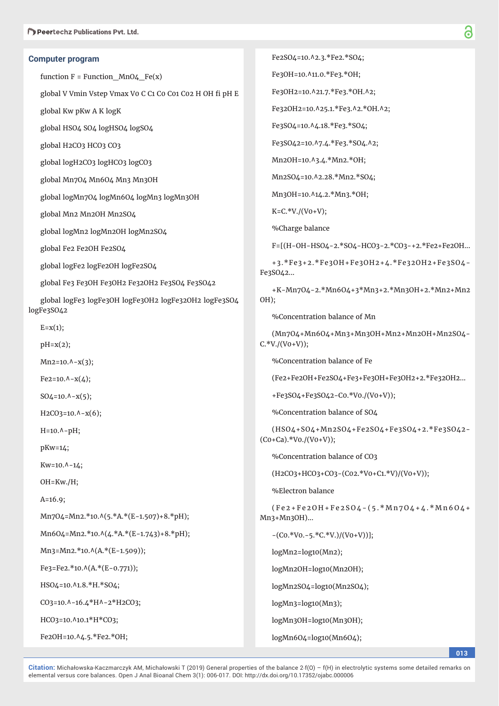### **Computer program**

function  $F = Function$  MnO4  $Fe(x)$ 

global V Vmin Vstep Vmax V0 C C1 C0 C01 C02 H OH fi pH E

global Kw pKw A K logK

global HSO4 SO4 logHSO4 logSO4

global H2CO3 HCO3 CO3

global logH2CO3 logHCO3 logCO3

global Mn7O4 Mn6O4 Mn3 Mn3OH

global logMn7O4 logMn6O4 logMn3 logMn3OH

global Mn2 Mn2OH Mn2SO4

global logMn2 logMn2OH logMn2SO4

global Fe2 Fe2OH Fe2SO4

global logFe2 logFe2OH logFe2SO4

global Fe3 Fe3OH Fe3OH2 Fe32OH2 Fe3SO4 Fe3SO42

global logFe3 logFe3OH logFe3OH2 logFe32OH2 logFe3SO4 logFe3SO42

 $E=x(1);$ 

pH=x(2);

 $Mn2=10.A-x(3);$ 

 $Fe2=10.A-x(4);$ 

 $SO_4 = 10.$ ^-x(5);

 $H2CO3=10.A-x(6);$ 

H=10.^-pH;

pKw=14;

 $Kw=10.A-14;$ 

OH=Kw./H;

A=16.9;

Mn7O4=Mn2.\*10.^(5.\*A.\*(E-1.507)+8.\*pH);

Mn6O4=Mn2.\*10.^(4.\*A.\*(E-1.743)+8.\*pH);

 $Mn3=Mn2.*10.\Lambda(A.*(E-1.509));$ 

 $Fe3 = Fe2.*10.\Lambda(A.*(E-0.771));$ 

HSO4=10.^1.8.\*H.\*SO4;

CO3=10.^-16.4\*H^-2\*H2CO3;

HCO3=10.^10.1\*H\*CO3;

Fe2OH=10.^4.5.\*Fe2.\*OH;

Fe2SO4=10.^2.3.\*Fe2.\*SO4;

Fe3OH=10.^11.0.\*Fe3.\*OH;

Fe3OH2=10.^21.7.\*Fe3.\*OH.^2;

Fe32OH2=10.^25.1.\*Fe3.^2.\*OH.^2;

Fe3SO4=10.^4.18.\*Fe3.\*SO4;

Fe3SO42=10.^7.4.\*Fe3.\*SO4.^2;

Mn2OH=10.^3.4.\*Mn2.\*OH;

Mn2SO4=10.^2.28.\*Mn2.\*SO4;

Mn3OH=10.^14.2.\*Mn3.\*OH;

 $K=C.*V./(V0+V);$ 

%Charge balance

F=[(H-OH-HSO4-2.\*SO4-HCO3-2.\*CO3-+2.\*Fe2+Fe2OH...

+3.\*Fe3+2.\*Fe3OH+Fe3OH2+4.\*Fe32OH2+Fe3SO4- Fe3SO42...

+K-Mn7O4-2.\*Mn6O4+3\*Mn3+2.\*Mn3OH+2.\*Mn2+Mn2 OH);

%Concentration balance of Mn

(Mn7O4+Mn6O4+Mn3+Mn3OH+Mn2+Mn2OH+Mn2SO4-  $C.*V./(V0+V)$ ;

%Concentration balance of Fe

(Fe2+Fe2OH+Fe2SO4+Fe3+Fe3OH+Fe3OH2+2.\*Fe32OH2...

+Fe3SO4+Fe3SO42-C0.\*V0./(V0+V));

%Concentration balance of SO4

(HSO4+SO4+Mn2SO4+Fe2SO4+Fe3SO4+2.\*Fe3SO42-  $(Co + Ca).$ \*Vo./(Vo+V));

%Concentration balance of CO3

(H2CO3+HCO3+CO3-(C02.\*V0+C1.\*V)/(V0+V));

%Electron balance

 $(Fe2 + Fe2OH + Fe2SO4 - (5. * Mn7O4 + 4. * Mn6O4 +$ Mn3+Mn3OH)...

 $-(\text{Co.*Vo.-5.*C.*V.})/(\text{Vo+V)})$ ];

logMn2=log10(Mn2);

logMn2OH=log10(Mn2OH);

logMn2SO4=log10(Mn2SO4);

logMn3=log10(Mn3);

logMn3OH=log10(Mn3OH);

logMn6O4=log10(Mn6O4);

**013**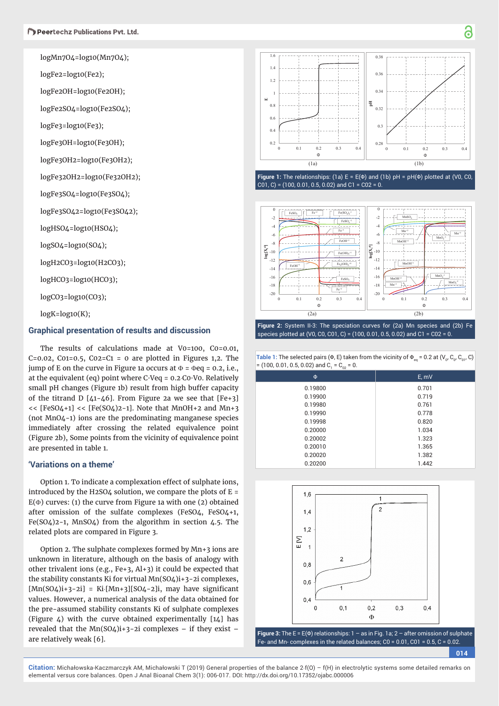logMn7O4=log10(Mn7O4);

logFe2=log10(Fe2);

logFe2OH=log10(Fe2OH);

logFe2SO4=log10(Fe2SO4);

logFe3=log10(Fe3);

logFe3OH=log10(Fe3OH);

logFe3OH2=log10(Fe3OH2);

logFe32OH2=log10(Fe32OH2);

logFe3SO4=log10(Fe3SO4);

logFe3SO42=log10(Fe3SO42);

logHSO4=log10(HSO4);

logSO4=log10(SO4);

logH2CO3=log10(H2CO3);

logHCO3=log10(HCO3);

logCO3=log10(CO3);

 $logK = log10(K);$ 

### **Graphical presentation of results and discussion**

The results of calculations made at V0=100, C0=0.01, C=0.02, C01=0.5, C02=C1 = 0 are plotted in Figures 1,2. The jump of E on the curve in Figure 1a occurs at  $\Phi$  =  $\Phi$ eq = 0.2, i.e., at the equivalent (eq) point where C∙Veq = 0.2C0∙V0. Relatively small pH changes (Figure 1b) result from high buffer capacity of the titrand D  $[41-46]$ . From Figure 2a we see that  $[Fe+3]$  $<<$  [FeSO4+1]  $<<$  [Fe(SO4)2-1]. Note that MnOH+2 and Mn+3 (not MnO4-1) ions are the predominating manganese species immediately after crossing the related equivalence point (Figure 2b), Some points from the vicinity of equivalence point are presented in table 1.

## **'Variations on a theme'**

Option 1. To indicate a complexation effect of sulphate ions, introduced by the H2SO4 solution, we compare the plots of  $E =$  $E(\Phi)$  curves: (1) the curve from Figure 1a with one (2) obtained after omission of the sulfate complexes (FeSO4, FeSO4+1, Fe(SO4)2-1, MnSO4) from the algorithm in section 4.5. The related plots are compared in Figure 3.

Option 2. The sulphate complexes formed by Mn+3 ions are unknown in literature, although on the basis of analogy with other trivalent ions (e.g., Fe+3, Al+3) it could be expected that the stability constants Ki for virtual Mn(SO4)i+3-2i complexes,  $[Min(SO4)i+3-2i] = Ki[Min+3][SO4-2]i$ , may have significant values. However, a numerical analysis of the data obtained for the pre-assumed stability constants Ki of sulphate complexes (Figure 4) with the curve obtained experimentally [14] has revealed that the  $Mn(SO4)i+3-2i$  complexes - if they exist are relatively weak [6].



**Figure 1:** The relationships: (1a) E = E(Φ) and (1b) pH = pH(Φ) plotted at (V0, C0,  $CO1, C$  = (100, 0.01, 0.5, 0.02) and C1 = C02 = 0.



**Figure 2:** System II-3: The speciation curves for (2a) Mn species and (2b) Fe species plotted at (V0, C0, C01, C) = (100, 0.01, 0.5, 0.02) and C1 = C02 = 0.

**Table 1:** The selected pairs (Φ, E) taken from the vicinity of  $\Phi_{eq} = 0.2$  at (V<sub>o</sub>, C<sub>o</sub>, C<sub>o1</sub>, C)  $= (100, 0.01, 0.5, 0.02)$  and  $C_1 = C_{02} = 0$ .

| $\Phi$  | E, mV |
|---------|-------|
| 0.19800 | 0.701 |
| 0.19900 | 0.719 |
| 0.19980 | 0.761 |
| 0.19990 | 0.778 |
| 0.19998 | 0.820 |
| 0.20000 | 1.034 |
| 0.20002 | 1.323 |
| 0.20010 | 1.365 |
| 0.20020 | 1.382 |
| 0.20200 | 1.442 |



**Figure 3:** The E = E(Φ) relationships: 1 – as in Fig. 1a; 2 – after omission of sulphate Fe- and Mn- complexes in the related balances; C0 = 0.01, C01 = 0.5, C = 0.02.

**014**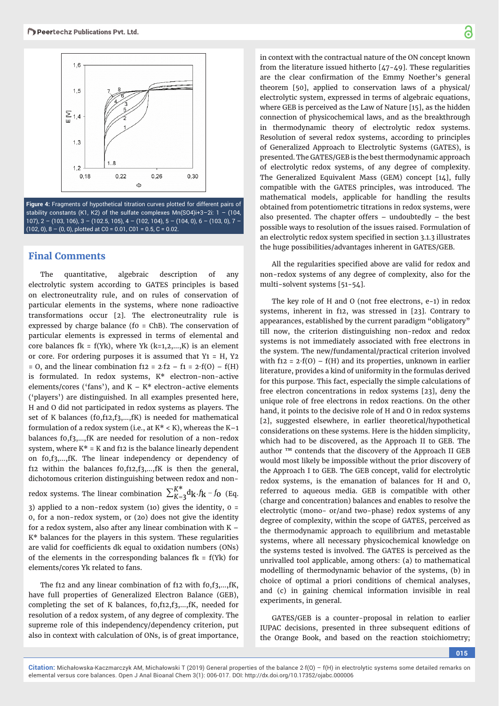

**Figure 4:** Fragments of hypothetical titration curves plotted for different pairs of stability constants (K1, K2) of the sulfate complexes Mn(SO4)i+3–2i: 1 – (104, 107),  $2 - (103, 106)$ ,  $3 - (102.5, 105)$ ,  $4 - (102, 104)$ ,  $5 - (104, 0)$ ,  $6 - (103, 0)$ ,  $7 (102, 0), 8 - (0, 0)$ , plotted at C0 = 0.01, C01 = 0.5, C = 0.02.

## **Final Comments**

The quantitative, algebraic description of any electrolytic system according to GATES principles is based on electroneutrality rule, and on rules of conservation of particular elements in the systems, where none radioactive transformations occur [2]. The electroneutrality rule is expressed by charge balance (f0 = ChB). The conservation of particular elements is expressed in terms of elemental and core balances fk = f(Yk), where Yk  $(k=1,2,...,K)$  is an element or core. For ordering purposes it is assumed that  $Y_1 = H$ ,  $Y_2$ = 0, and the linear combination f12 =  $2·f2 - f1 = 2·f(0) - f(H)$ is formulated. In redox systems, K\* electron-non-active elements/cores ('fans'), and  $K - K^*$  electron-active elements ('players') are distinguished. In all examples presented here, H and O did not participated in redox systems as players. The set of K balances (f0,f12,f3,…,fK) is needed for mathematical formulation of a redox system (i.e., at  $K^* < K$ ), whereas the  $K-1$ balances f0,f3,…,fK are needed for resolution of a non-redox system, where  $K^* = K$  and f12 is the balance linearly dependent on f0,f3,…,fK. The linear independency or dependency of f12 within the balances f0,f12,f3,…,fK is then the general, dichotomous criterion distinguishing between redox and nonredox systems. The linear combination  $\sum_{K=3}^{K^*} d_{\bf k} f_{\bf k}$  -  $f_{\bf 0}$  (Eq.

3) applied to a non-redox system (10) gives the identity,  $0 =$ 0, for a non-redox system, or (2o) does not give the identity for a redox system, also after any linear combination with  $K -$ K\* balances for the players in this system. These regularities are valid for coefficients dk equal to oxidation numbers (ONs) of the elements in the corresponding balances  $fk = f(Yk)$  for elements/cores Yk related to fans.

The f12 and any linear combination of f12 with f0,f3,…,fK, have full properties of Generalized Electron Balance (GEB), completing the set of K balances, f0,f12,f3,…,fK, needed for resolution of a redox system, of any degree of complexity. The supreme role of this independency/dependency criterion, put also in context with calculation of ONs, is of great importance,

in context with the contractual nature of the ON concept known from the literature issued hitherto [47-49]. These regularities are the clear confirmation of the Emmy Noether's general theorem [50], applied to conservation laws of a physical/ electrolytic system, expressed in terms of algebraic equations, where GEB is perceived as the Law of Nature [15], as the hidden connection of physicochemical laws, and as the breakthrough in thermodynamic theory of electrolytic redox systems. Resolution of several redox systems, according to principles of Generalized Approach to Electrolytic Systems (GATES), is presented. The GATES/GEB is the best thermodynamic approach of electrolytic redox systems, of any degree of complexity. The Generalized Equivalent Mass (GEM) concept [14], fully compatible with the GATES principles, was introduced. The mathematical models, applicable for handling the results obtained from potentiometric titrations in redox systems, were also presented. The chapter offers – undoubtedly – the best possible ways to resolution of the issues raised. Formulation of an electrolytic redox system specified in section 3.1.3 illustrates the huge possibilities/advantages inherent in GATES/GEB.

All the regularities specified above are valid for redox and non-redox systems of any degree of complexity, also for the multi-solvent systems [51-54].

The key role of H and O (not free electrons, e-1) in redox systems, inherent in f12, was stressed in [23]. Contrary to appearances, established by the current paradigm "obligatory" till now, the criterion distinguishing non-redox and redox systems is not immediately associated with free electrons in the system. The new/fundamental/practical criterion involved with f12 =  $2·f(0) - f(H)$  and its properties, unknown in earlier literature, provides a kind of uniformity in the formulas derived for this purpose. This fact, especially the simple calculations of free electron concentrations in redox systems [23], deny the unique role of free electrons in redox reactions. On the other hand, it points to the decisive role of H and O in redox systems [2], suggested elsewhere, in earlier theoretical/hypothetical considerations on these systems. Here is the hidden simplicity, which had to be discovered, as the Approach II to GEB. The author ™ contends that the discovery of the Approach II GEB would most likely be impossible without the prior discovery of the Approach I to GEB. The GEB concept, valid for electrolytic redox systems, is the emanation of balances for H and O, referred to aqueous media. GEB is compatible with other (charge and concentration) balances and enables to resolve the electrolytic (mono- or/and two-phase) redox systems of any degree of complexity, within the scope of GATES, perceived as the thermodynamic approach to equilibrium and metastable systems, where all necessary physicochemical knowledge on the systems tested is involved. The GATES is perceived as the unrivalled tool applicable, among others: (a) to mathematical modelling of thermodynamic behavior of the systems, (b) in choice of optimal a priori conditions of chemical analyses, and (c) in gaining chemical information invisible in real experiments, in general.

GATES/GEB is a counter-proposal in relation to earlier IUPAC decisions, presented in three subsequent editions of the Orange Book, and based on the reaction stoichiometry;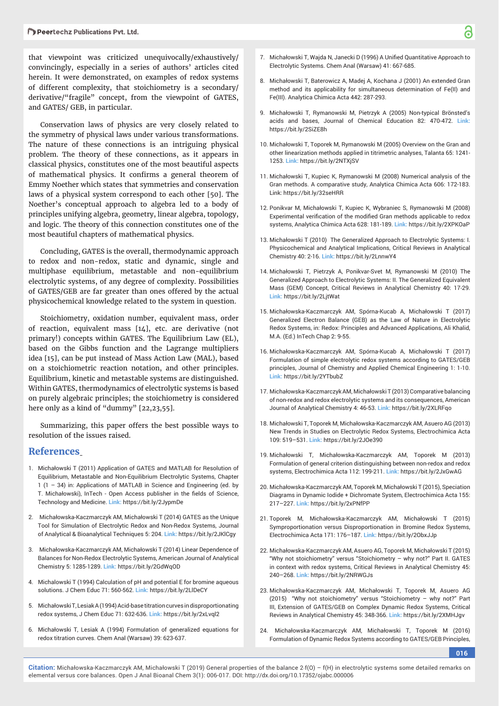that viewpoint was criticized unequivocally/exhaustively/ convincingly, especially in a series of authors' articles cited herein. It were demonstrated, on examples of redox systems of different complexity, that stoichiometry is a secondary/ derivative/"fragile" concept, from the viewpoint of GATES, and GATES/ GEB, in particular.

Conservation laws of physics are very closely related to the symmetry of physical laws under various transformations. The nature of these connections is an intriguing physical problem. The theory of these connections, as it appears in classical physics, constitutes one of the most beautiful aspects of mathematical physics. It confirms a general theorem of Emmy Noether which states that symmetries and conservation laws of a physical system correspond to each other [50]. The Noether's conceptual approach to algebra led to a body of principles unifying algebra, geometry, linear algebra, topology, and logic. The theory of this connection constitutes one of the most beautiful chapters of mathematical physics.

Concluding, GATES is the overall, thermodynamic approach to redox and non-redox, static and dynamic, single and multiphase equilibrium, metastable and non-equilibrium electrolytic systems, of any degree of complexity. Possibilities of GATES/GEB are far greater than ones offered by the actual physicochemical knowledge related to the system in question.

Stoichiometry, oxidation number, equivalent mass, order of reaction, equivalent mass [14], etc. are derivative (not primary!) concepts within GATES. The Equilibrium Law (EL), based on the Gibbs function and the Lagrange multipliers idea [15], can be put instead of Mass Action Law (MAL), based on a stoichiometric reaction notation, and other principles. Equilibrium, kinetic and metastable systems are distinguished. Within GATES, thermodynamics of electrolytic systems is based on purely algebraic principles; the stoichiometry is considered here only as a kind of "dummy" [22,23,55].

Summarizing, this paper offers the best possible ways to resolution of the issues raised.

#### **References**

- 1. Michałowski T (2011) Application of GATES and MATLAB for Resolution of Equilibrium, Metastable and Non-Equilibrium Electrolytic Systems, Chapter 1 (1 – 34) in: Applications of MATLAB in Science and Engineering (ed. by T. Michałowski), InTech - Open Access publisher in the fields of Science, Technology and Medicine. **Link:** https://bit.ly/2JypmDe
- 2. Michałowska-Kaczmarczyk AM, Michałowski T (2014) GATES as the Unique Tool for Simulation of Electrolytic Redox and Non-Redox Systems, Journal of Analytical & Bioanalytical Techniques 5: 204. **Link:** https://bit.ly/2JKlCgy
- 3. Michałowska-Kaczmarczyk AM, Michałowski T (2014) Linear Dependence of Balances for Non-Redox Electrolytic Systems, American Journal of Analytical Chemistry 5: 1285-1289. **Link:** https://bit.ly/2GdWqOD
- 4. Michalowski T (1994) Calculation of pH and potential E for bromine aqueous solutions. J Chem Educ 71: 560-562. **Link:** https://bit.ly/2LlDeCY
- 5. Michałowski T, Lesiak A (1994) Acid-base titration curves in disproportionating redox systems, J Chem Educ 71: 632-636. **Link:** https://bit.ly/2xLvql2
- 6. Michałowski T, Lesiak A (1994) Formulation of generalized equations for redox titration curves. Chem Anal (Warsaw) 39: 623-637.
- 7. Michałowski T, Wajda N, Janecki D (1996) A Unified Quantitative Approach to Electrolytic Systems. Chem Anal (Warsaw) 41: 667-685.
- 8. Michałowski T, Baterowicz A, Madej A, Kochana J (2001) An extended Gran method and its applicability for simultaneous determination of Fe(II) and Fe(III). Analytica Chimica Acta 442: 287-293.
- 9. Michałowski T, Rymanowski M, Pietrzyk A (2005) Non-typical Brönsted's acids and bases, Journal of Chemical Education 82: 470-472. **Link:** https://bit.ly/2SiZE8h
- 10. Michałowski T, Toporek M, Rymanowski M (2005) Overview on the Gran and other linearization methods applied in titrimetric analyses, Talanta 65: 1241- 1253. **Link:** https://bit.ly/2NTXjSV
- 11. Michałowski T, Kupiec K, Rymanowski M (2008) Numerical analysis of the Gran methods. A comparative study, Analytica Chimica Acta 606: 172-183. Link: https://bit.ly/32seHRR
- 12. Ponikvar M, Michałowski T, Kupiec K, Wybraniec S, Rymanowski M (2008) Experimental verification of the modified Gran methods applicable to redox systems, Analytica Chimica Acta 628: 181-189. **Link:** https://bit.ly/2XPKOaP
- 13. Michałowski T (2010) The Generalized Approach to Electrolytic Systems: I. Physicochemical and Analytical Implications, Critical Reviews in Analytical Chemistry 40: 2-16. **Link:** https://bit.ly/2LnnwY4
- 14. Michałowski T, Pietrzyk A, Ponikvar-Svet M, Rymanowski M (2010) The Generalized Approach to Electrolytic Systems: II. The Generalized Equivalent Mass (GEM) Concept, Critical Reviews in Analytical Chemistry 40: 17-29. **Link:** https://bit.ly/2LjtWat
- 15. Michałowska-Kaczmarczyk AM, Spórna-Kucab A, Michałowski T (2017) Generalized Electron Balance (GEB) as the Law of Nature in Electrolytic Redox Systems, in: Redox: Principles and Advanced Applications, Ali Khalid, M.A. (Ed.) InTech Chap 2: 9-55.
- 16. Michałowska-Kaczmarczyk AM, Spórna-Kucab A, Michałowski T (2017) Formulation of simple electrolytic redox systems according to GATES/GEB principles, Journal of Chemistry and Applied Chemical Engineering 1: 1-10. **Link:** https://bit.ly/2YTbubZ
- 17. Michałowska-Kaczmarczyk AM, Michałowski T (2013) Comparative balancing of non-redox and redox electrolytic systems and its consequences, American Journal of Analytical Chemistry 4: 46-53. **Link:** https://bit.ly/2XLRFqo
- 18. Michałowski T, Toporek M, Michałowska-Kaczmarczyk AM, Asuero AG (2013) New Trends in Studies on Electrolytic Redox Systems, Electrochimica Acta 109: 519–531. **Link:** https://bit.ly/2JOe390
- 19. Michałowski T, Michałowska-Kaczmarczyk AM, Toporek M (2013) Formulation of general criterion distinguishing between non-redox and redox systems, Electrochimica Acta 112: 199-211. **Link:** https://bit.ly/2JxGwAG
- 20. Michałowska-Kaczmarczyk AM, Toporek M, Michałowski T (2015), Speciation Diagrams in Dynamic Iodide + Dichromate System, Electrochimica Acta 155: 217–227. **Link:** https://bit.ly/2xPNfPP
- 21. Toporek M, Michałowska-Kaczmarczyk AM, Michałowski T (2015) Symproportionation versus Disproportionation in Bromine Redox Systems, Electrochimica Acta 171: 176–187. **Link:** https://bit.ly/2ObxJJp
- 22. Michałowska-Kaczmarczyk AM, Asuero AG, Toporek M, Michałowski T (2015) "Why not stoichiometry" versus "Stoichiometry – why not?" Part II. GATES in context with redox systems, Critical Reviews in Analytical Chemistry 45: 240–268. **Link:** https://bit.ly/2NRWGJs
- 23. Michałowska-Kaczmarczyk AM, Michałowski T, Toporek M, Asuero AG (2015) "Why not stoichiometry" versus "Stoichiometry – why not?" Part III, Extension of GATES/GEB on Complex Dynamic Redox Systems, Critical Reviews in Analytical Chemistry 45: 348-366. **Link:** https://bit.ly/2XMHJgv
- 24. Michałowska-Kaczmarczyk AM, Michałowski T, Toporek M (2016) Formulation of Dynamic Redox Systems according to GATES/GEB Principles,

**016**